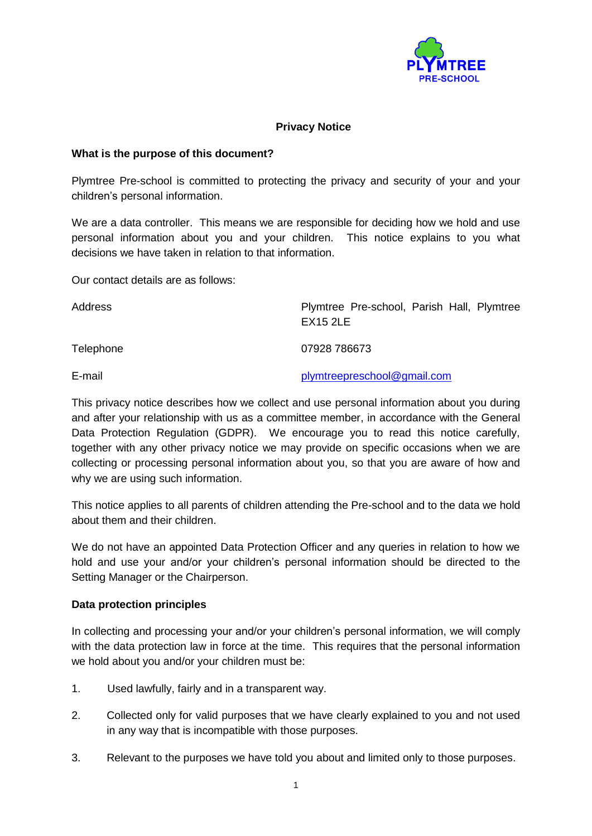

## **Privacy Notice**

#### **What is the purpose of this document?**

Plymtree Pre-school is committed to protecting the privacy and security of your and your children's personal information.

We are a data controller. This means we are responsible for deciding how we hold and use personal information about you and your children. This notice explains to you what decisions we have taken in relation to that information.

Our contact details are as follows:

Address **Plymtree Pre-school, Parish Hall, Plymtree** EX15 2LE Telephone 07928 786673 E-mail [plymtreepreschool@gmail.com](mailto:plymtreepreschool@gmail.com)

This privacy notice describes how we collect and use personal information about you during and after your relationship with us as a committee member, in accordance with the General Data Protection Regulation (GDPR). We encourage you to read this notice carefully, together with any other privacy notice we may provide on specific occasions when we are collecting or processing personal information about you, so that you are aware of how and why we are using such information.

This notice applies to all parents of children attending the Pre-school and to the data we hold about them and their children.

We do not have an appointed Data Protection Officer and any queries in relation to how we hold and use your and/or your children's personal information should be directed to the Setting Manager or the Chairperson.

## **Data protection principles**

In collecting and processing your and/or your children's personal information, we will comply with the data protection law in force at the time. This requires that the personal information we hold about you and/or your children must be:

- 1. Used lawfully, fairly and in a transparent way.
- 2. Collected only for valid purposes that we have clearly explained to you and not used in any way that is incompatible with those purposes.
- 3. Relevant to the purposes we have told you about and limited only to those purposes.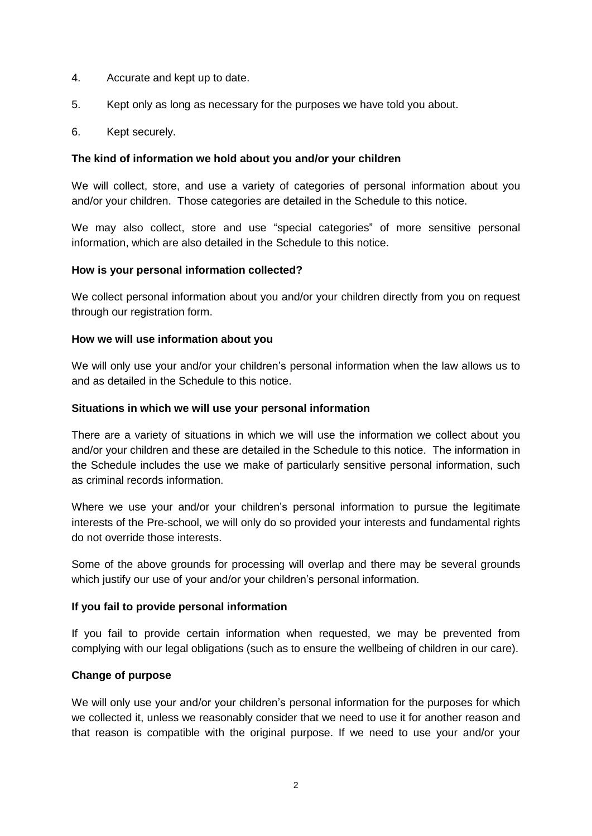- 4. Accurate and kept up to date.
- 5. Kept only as long as necessary for the purposes we have told you about.
- 6. Kept securely.

#### **The kind of information we hold about you and/or your children**

We will collect, store, and use a variety of categories of personal information about you and/or your children. Those categories are detailed in the Schedule to this notice.

We may also collect, store and use "special categories" of more sensitive personal information, which are also detailed in the Schedule to this notice.

#### **How is your personal information collected?**

We collect personal information about you and/or your children directly from you on request through our registration form.

#### **How we will use information about you**

We will only use your and/or your children's personal information when the law allows us to and as detailed in the Schedule to this notice.

#### **Situations in which we will use your personal information**

There are a variety of situations in which we will use the information we collect about you and/or your children and these are detailed in the Schedule to this notice. The information in the Schedule includes the use we make of particularly sensitive personal information, such as criminal records information.

Where we use your and/or your children's personal information to pursue the legitimate interests of the Pre-school, we will only do so provided your interests and fundamental rights do not override those interests.

Some of the above grounds for processing will overlap and there may be several grounds which justify our use of your and/or your children's personal information.

## **If you fail to provide personal information**

If you fail to provide certain information when requested, we may be prevented from complying with our legal obligations (such as to ensure the wellbeing of children in our care).

## **Change of purpose**

We will only use your and/or your children's personal information for the purposes for which we collected it, unless we reasonably consider that we need to use it for another reason and that reason is compatible with the original purpose. If we need to use your and/or your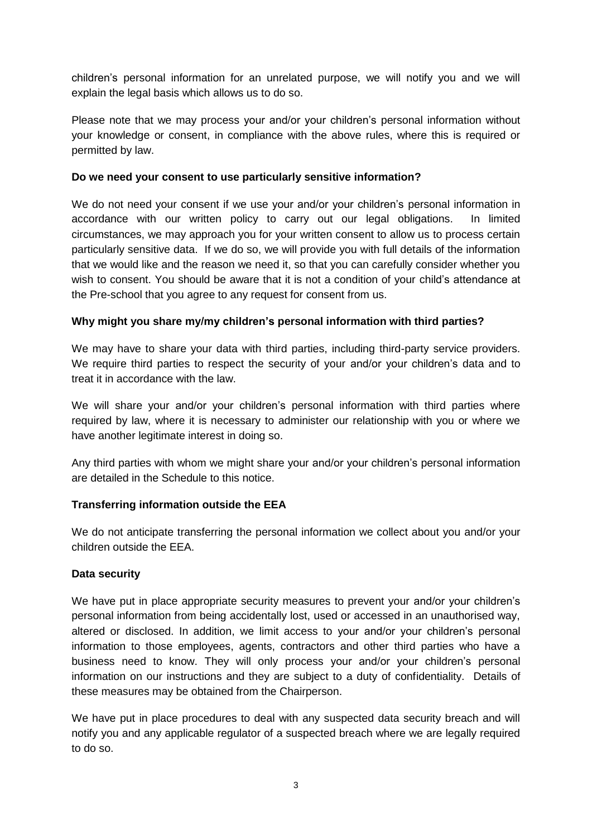children's personal information for an unrelated purpose, we will notify you and we will explain the legal basis which allows us to do so.

Please note that we may process your and/or your children's personal information without your knowledge or consent, in compliance with the above rules, where this is required or permitted by law.

## **Do we need your consent to use particularly sensitive information?**

We do not need your consent if we use your and/or your children's personal information in accordance with our written policy to carry out our legal obligations. In limited circumstances, we may approach you for your written consent to allow us to process certain particularly sensitive data. If we do so, we will provide you with full details of the information that we would like and the reason we need it, so that you can carefully consider whether you wish to consent. You should be aware that it is not a condition of your child's attendance at the Pre-school that you agree to any request for consent from us.

# **Why might you share my/my children's personal information with third parties?**

We may have to share your data with third parties, including third-party service providers. We require third parties to respect the security of your and/or your children's data and to treat it in accordance with the law.

We will share your and/or your children's personal information with third parties where required by law, where it is necessary to administer our relationship with you or where we have another legitimate interest in doing so.

Any third parties with whom we might share your and/or your children's personal information are detailed in the Schedule to this notice.

# **Transferring information outside the EEA**

We do not anticipate transferring the personal information we collect about you and/or your children outside the EEA.

## **Data security**

We have put in place appropriate security measures to prevent your and/or your children's personal information from being accidentally lost, used or accessed in an unauthorised way, altered or disclosed. In addition, we limit access to your and/or your children's personal information to those employees, agents, contractors and other third parties who have a business need to know. They will only process your and/or your children's personal information on our instructions and they are subject to a duty of confidentiality. Details of these measures may be obtained from the Chairperson.

We have put in place procedures to deal with any suspected data security breach and will notify you and any applicable regulator of a suspected breach where we are legally required to do so.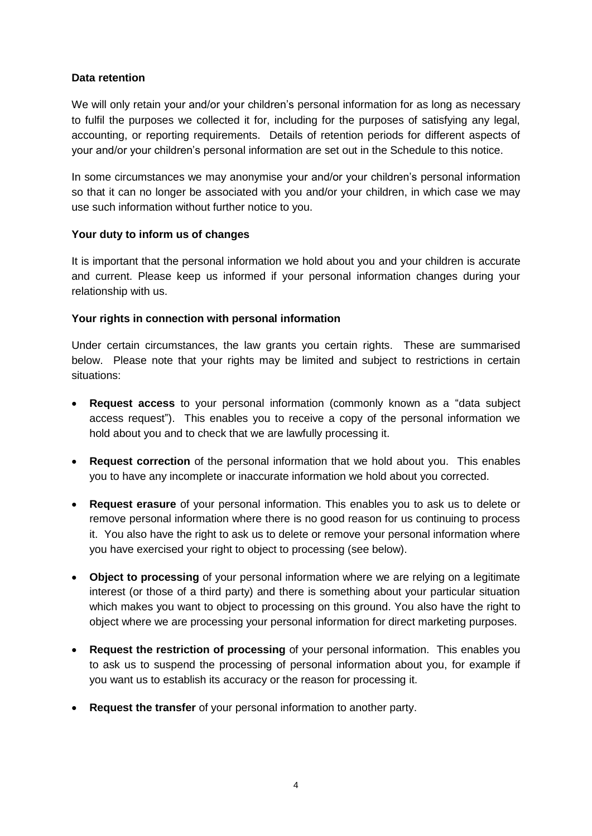## **Data retention**

We will only retain your and/or your children's personal information for as long as necessary to fulfil the purposes we collected it for, including for the purposes of satisfying any legal, accounting, or reporting requirements. Details of retention periods for different aspects of your and/or your children's personal information are set out in the Schedule to this notice.

In some circumstances we may anonymise your and/or your children's personal information so that it can no longer be associated with you and/or your children, in which case we may use such information without further notice to you.

## **Your duty to inform us of changes**

It is important that the personal information we hold about you and your children is accurate and current. Please keep us informed if your personal information changes during your relationship with us.

## **Your rights in connection with personal information**

Under certain circumstances, the law grants you certain rights. These are summarised below. Please note that your rights may be limited and subject to restrictions in certain situations:

- **Request access** to your personal information (commonly known as a "data subject access request"). This enables you to receive a copy of the personal information we hold about you and to check that we are lawfully processing it.
- **Request correction** of the personal information that we hold about you. This enables you to have any incomplete or inaccurate information we hold about you corrected.
- **Request erasure** of your personal information. This enables you to ask us to delete or remove personal information where there is no good reason for us continuing to process it. You also have the right to ask us to delete or remove your personal information where you have exercised your right to object to processing (see below).
- **Object to processing** of your personal information where we are relying on a legitimate interest (or those of a third party) and there is something about your particular situation which makes you want to object to processing on this ground. You also have the right to object where we are processing your personal information for direct marketing purposes.
- **Request the restriction of processing** of your personal information. This enables you to ask us to suspend the processing of personal information about you, for example if you want us to establish its accuracy or the reason for processing it.
- **Request the transfer** of your personal information to another party.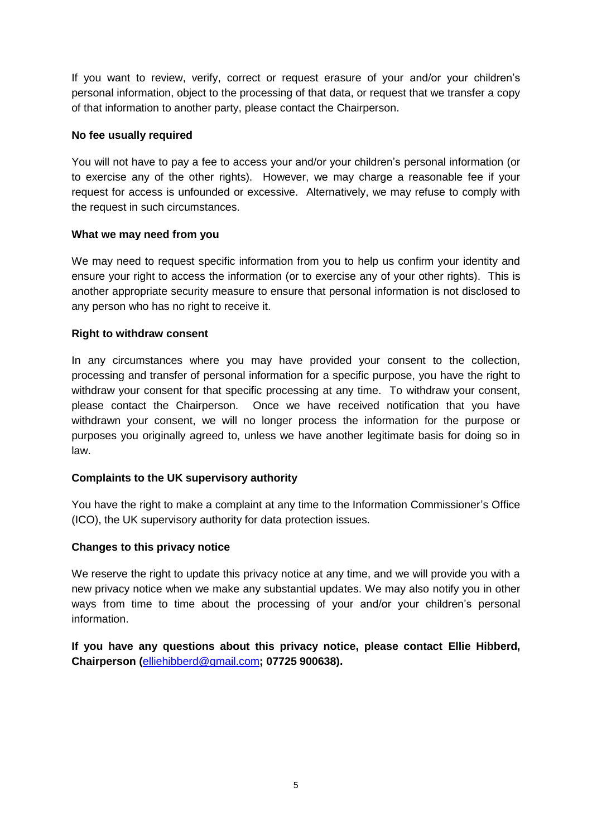If you want to review, verify, correct or request erasure of your and/or your children's personal information, object to the processing of that data, or request that we transfer a copy of that information to another party, please contact the Chairperson.

## **No fee usually required**

You will not have to pay a fee to access your and/or your children's personal information (or to exercise any of the other rights). However, we may charge a reasonable fee if your request for access is unfounded or excessive. Alternatively, we may refuse to comply with the request in such circumstances.

## **What we may need from you**

We may need to request specific information from you to help us confirm your identity and ensure your right to access the information (or to exercise any of your other rights). This is another appropriate security measure to ensure that personal information is not disclosed to any person who has no right to receive it.

## **Right to withdraw consent**

In any circumstances where you may have provided your consent to the collection, processing and transfer of personal information for a specific purpose, you have the right to withdraw your consent for that specific processing at any time. To withdraw your consent, please contact the Chairperson. Once we have received notification that you have withdrawn your consent, we will no longer process the information for the purpose or purposes you originally agreed to, unless we have another legitimate basis for doing so in law.

# **Complaints to the UK supervisory authority**

You have the right to make a complaint at any time to the Information Commissioner's Office (ICO), the UK supervisory authority for data protection issues.

## **Changes to this privacy notice**

We reserve the right to update this privacy notice at any time, and we will provide you with a new privacy notice when we make any substantial updates. We may also notify you in other ways from time to time about the processing of your and/or your children's personal information.

**If you have any questions about this privacy notice, please contact Ellie Hibberd, Chairperson (**[elliehibberd@gmail.com](mailto:elliehibberd@gmail.com)**; 07725 900638).**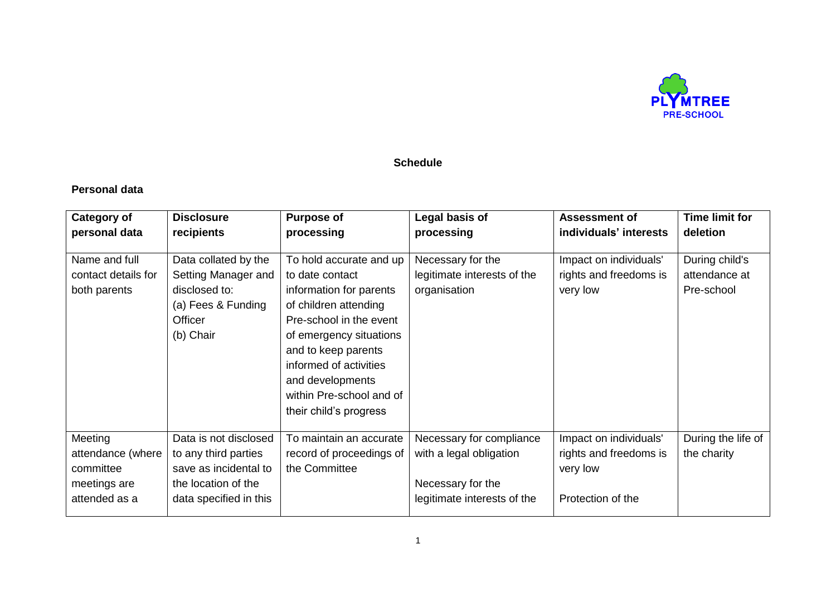

## **Schedule**

# **Personal data**

| <b>Category of</b>                                                         | <b>Disclosure</b>                                                                                                       | <b>Purpose of</b>                                                                                                                                                                                                                                                               | Legal basis of                                                                                          | <b>Assessment of</b>                                                              | <b>Time limit for</b>                         |
|----------------------------------------------------------------------------|-------------------------------------------------------------------------------------------------------------------------|---------------------------------------------------------------------------------------------------------------------------------------------------------------------------------------------------------------------------------------------------------------------------------|---------------------------------------------------------------------------------------------------------|-----------------------------------------------------------------------------------|-----------------------------------------------|
| personal data                                                              | recipients                                                                                                              | processing                                                                                                                                                                                                                                                                      | processing                                                                                              | individuals' interests                                                            | deletion                                      |
| Name and full<br>contact details for<br>both parents                       | Data collated by the<br>Setting Manager and<br>disclosed to:<br>(a) Fees & Funding<br>Officer<br>(b) Chair              | To hold accurate and up<br>to date contact<br>information for parents<br>of children attending<br>Pre-school in the event<br>of emergency situations<br>and to keep parents<br>informed of activities<br>and developments<br>within Pre-school and of<br>their child's progress | Necessary for the<br>legitimate interests of the<br>organisation                                        | Impact on individuals'<br>rights and freedoms is<br>very low                      | During child's<br>attendance at<br>Pre-school |
| Meeting<br>attendance (where<br>committee<br>meetings are<br>attended as a | Data is not disclosed<br>to any third parties<br>save as incidental to<br>the location of the<br>data specified in this | To maintain an accurate<br>record of proceedings of<br>the Committee                                                                                                                                                                                                            | Necessary for compliance<br>with a legal obligation<br>Necessary for the<br>legitimate interests of the | Impact on individuals'<br>rights and freedoms is<br>very low<br>Protection of the | During the life of<br>the charity             |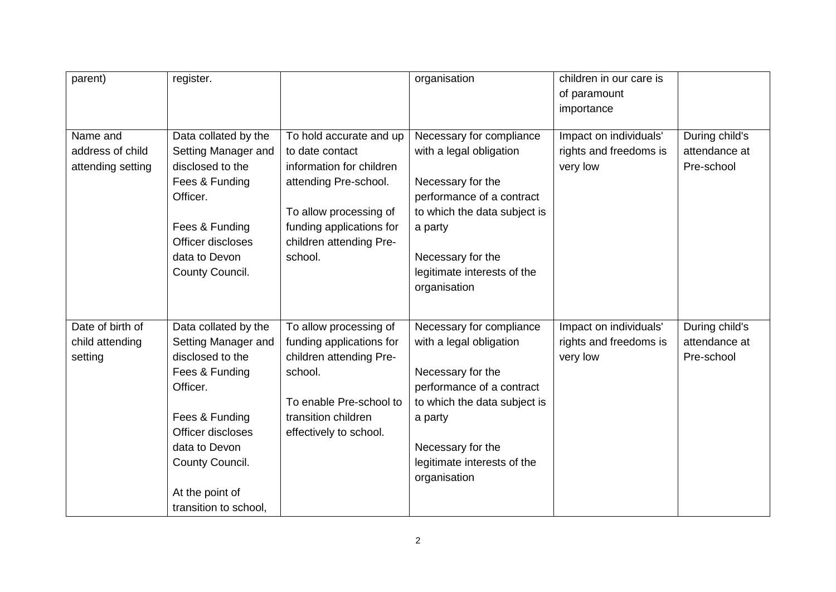| parent)                                        | register.                                                                                                                                                                                                            |                                                                                                                                                                      | organisation                                                                                                                                                                                                         | children in our care is<br>of paramount                      |                                               |
|------------------------------------------------|----------------------------------------------------------------------------------------------------------------------------------------------------------------------------------------------------------------------|----------------------------------------------------------------------------------------------------------------------------------------------------------------------|----------------------------------------------------------------------------------------------------------------------------------------------------------------------------------------------------------------------|--------------------------------------------------------------|-----------------------------------------------|
|                                                |                                                                                                                                                                                                                      |                                                                                                                                                                      |                                                                                                                                                                                                                      | importance                                                   |                                               |
| Name and<br>address of child                   | Data collated by the<br>Setting Manager and                                                                                                                                                                          | To hold accurate and up<br>to date contact                                                                                                                           | Necessary for compliance<br>with a legal obligation                                                                                                                                                                  | Impact on individuals'<br>rights and freedoms is             | During child's<br>attendance at               |
| attending setting                              | disclosed to the<br>Fees & Funding<br>Officer.<br>Fees & Funding<br>Officer discloses<br>data to Devon<br>County Council.                                                                                            | information for children<br>attending Pre-school.<br>To allow processing of<br>funding applications for<br>children attending Pre-<br>school.                        | Necessary for the<br>performance of a contract<br>to which the data subject is<br>a party<br>Necessary for the<br>legitimate interests of the<br>organisation                                                        | very low                                                     | Pre-school                                    |
| Date of birth of<br>child attending<br>setting | Data collated by the<br>Setting Manager and<br>disclosed to the<br>Fees & Funding<br>Officer.<br>Fees & Funding<br>Officer discloses<br>data to Devon<br>County Council.<br>At the point of<br>transition to school, | To allow processing of<br>funding applications for<br>children attending Pre-<br>school.<br>To enable Pre-school to<br>transition children<br>effectively to school. | Necessary for compliance<br>with a legal obligation<br>Necessary for the<br>performance of a contract<br>to which the data subject is<br>a party<br>Necessary for the<br>legitimate interests of the<br>organisation | Impact on individuals'<br>rights and freedoms is<br>very low | During child's<br>attendance at<br>Pre-school |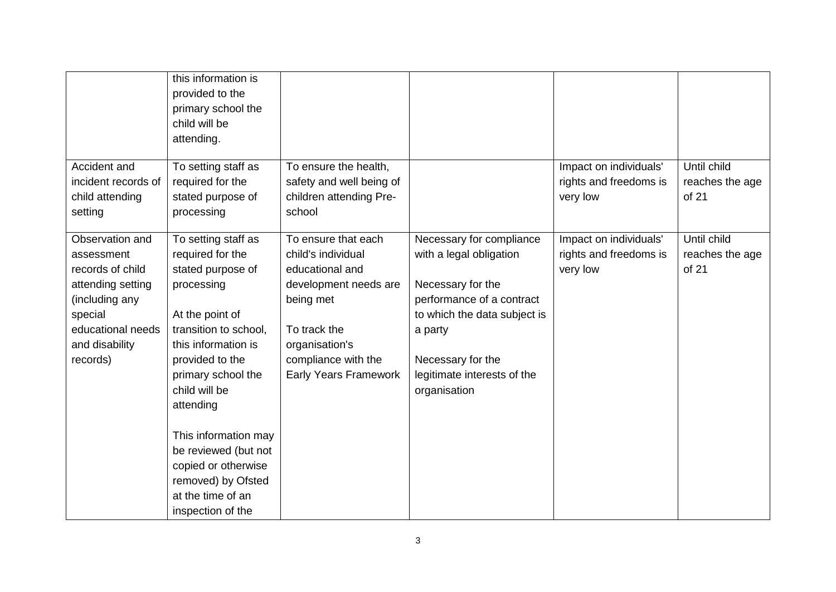| Accident and<br>incident records of<br>child attending<br>setting                                                                                      | this information is<br>provided to the<br>primary school the<br>child will be<br>attending.<br>To setting staff as<br>required for the<br>stated purpose of<br>processing                                                                                                                                                                                   | To ensure the health,<br>safety and well being of<br>children attending Pre-<br>school                                                                                                      |                                                                                                                                                                                                                      | Impact on individuals'<br>rights and freedoms is<br>very low | Until child<br>reaches the age<br>of 21 |
|--------------------------------------------------------------------------------------------------------------------------------------------------------|-------------------------------------------------------------------------------------------------------------------------------------------------------------------------------------------------------------------------------------------------------------------------------------------------------------------------------------------------------------|---------------------------------------------------------------------------------------------------------------------------------------------------------------------------------------------|----------------------------------------------------------------------------------------------------------------------------------------------------------------------------------------------------------------------|--------------------------------------------------------------|-----------------------------------------|
| Observation and<br>assessment<br>records of child<br>attending setting<br>(including any<br>special<br>educational needs<br>and disability<br>records) | To setting staff as<br>required for the<br>stated purpose of<br>processing<br>At the point of<br>transition to school,<br>this information is<br>provided to the<br>primary school the<br>child will be<br>attending<br>This information may<br>be reviewed (but not<br>copied or otherwise<br>removed) by Ofsted<br>at the time of an<br>inspection of the | To ensure that each<br>child's individual<br>educational and<br>development needs are<br>being met<br>To track the<br>organisation's<br>compliance with the<br><b>Early Years Framework</b> | Necessary for compliance<br>with a legal obligation<br>Necessary for the<br>performance of a contract<br>to which the data subject is<br>a party<br>Necessary for the<br>legitimate interests of the<br>organisation | Impact on individuals'<br>rights and freedoms is<br>very low | Until child<br>reaches the age<br>of 21 |